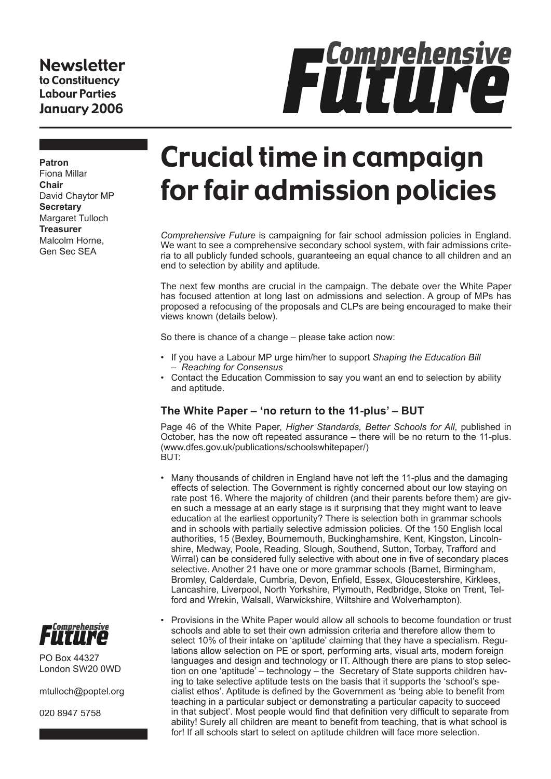#### Newsletter to Constituency Labour Parties January 2006

# **Fürtingensive**

**Patron** Fiona Millar **Chair** David Chaytor MP **Secretary** Margaret Tulloch **Treasurer** Malcolm Horne, Gen Sec SEA

# Crucial time in campaign for fair admission policies

*Comprehensive Future* is campaigning for fair school admission policies in England. We want to see a comprehensive secondary school system, with fair admissions criteria to all publicly funded schools, guaranteeing an equal chance to all children and an end to selection by ability and aptitude.

The next few months are crucial in the campaign. The debate over the White Paper has focused attention at long last on admissions and selection. A group of MPs has proposed a refocusing of the proposals and CLPs are being encouraged to make their views known (details below).

So there is chance of a change – please take action now:

- If you have a Labour MP urge him/her to support *Shaping the Education Bill – Reaching for Consensus*.
- Contact the Education Commission to say you want an end to selection by ability and aptitude.

#### **The White Paper – 'no return to the 11-plus' – BUT**

Page 46 of the White Paper, *Higher Standards, Better Schools for All*, published in October, has the now oft repeated assurance – there will be no return to the 11-plus. (www.dfes.gov.uk/publications/schoolswhitepaper/) BUT:

- Many thousands of children in England have not left the 11-plus and the damaging effects of selection. The Government is rightly concerned about our low staying on rate post 16. Where the majority of children (and their parents before them) are given such a message at an early stage is it surprising that they might want to leave education at the earliest opportunity? There is selection both in grammar schools and in schools with partially selective admission policies. Of the 150 English local authorities, 15 (Bexley, Bournemouth, Buckinghamshire, Kent, Kingston, Lincolnshire, Medway, Poole, Reading, Slough, Southend, Sutton, Torbay, Trafford and Wirral) can be considered fully selective with about one in five of secondary places selective. Another 21 have one or more grammar schools (Barnet, Birmingham, Bromley, Calderdale, Cumbria, Devon, Enfield, Essex, Gloucestershire, Kirklees, Lancashire, Liverpool, North Yorkshire, Plymouth, Redbridge, Stoke on Trent, Telford and Wrekin, Walsall, Warwickshire, Wiltshire and Wolverhampton).
- Provisions in the White Paper would allow all schools to become foundation or trust schools and able to set their own admission criteria and therefore allow them to select 10% of their intake on 'aptitude' claiming that they have a specialism. Regulations allow selection on PE or sport, performing arts, visual arts, modern foreign languages and design and technology or IT. Although there are plans to stop selection on one 'aptitude' – technology – the Secretary of State supports children having to take selective aptitude tests on the basis that it supports the 'school's specialist ethos'. Aptitude is defined by the Government as 'being able to benefit from teaching in a particular subject or demonstrating a particular capacity to succeed in that subject'. Most people would find that definition very difficult to separate from ability! Surely all children are meant to benefit from teaching, that is what school is for! If all schools start to select on aptitude children will face more selection.



PO Box 44327 London SW20 0WD

mtulloch@poptel.org

020 8947 5758